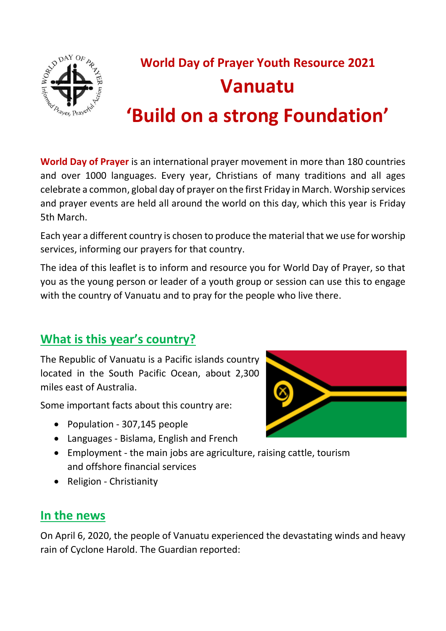

# **World Day of Prayer Youth Resource 2021 Vanuatu 'Build on a strong Foundation'**

**World Day of Prayer** is an international prayer movement in more than 180 countries and over 1000 languages. Every year, Christians of many traditions and all ages celebrate a common, global day of prayer on the first Friday in March. Worship services and prayer events are held all around the world on this day, which this year is Friday 5th March.

Each year a different country is chosen to produce the material that we use for worship services, informing our prayers for that country.

The idea of this leaflet is to inform and resource you for World Day of Prayer, so that you as the young person or leader of a youth group or session can use this to engage with the country of Vanuatu and to pray for the people who live there.

# **What is this year's country?**

The Republic of Vanuatu is a Pacific islands country located in the South Pacific Ocean, about 2,300 miles east of Australia.

Some important facts about this country are:

- Population 307,145 people
- Languages Bislama, English and French
- Employment the main jobs are agriculture, raising cattle, tourism and offshore [financial services](https://en.wikipedia.org/wiki/Financial_services)
- Religion Christianity

## **In the news**

On April 6, 2020, the people of Vanuatu experienced the devastating winds and heavy rain of Cyclone Harold. The Guardian reported:

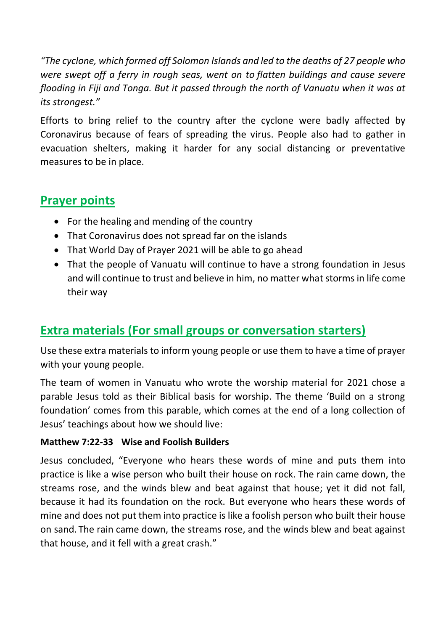*"The cyclone, which formed off Solomon Islands and led to the deaths of 27 people who were swept off a ferry in rough seas, went on to [flatten buildings and cause severe](https://www.theguardian.com/world/2020/apr/08/cyclone-harold-batters-fiji-on-path-of-destruction-through-pacific)  [flooding in Fiji and Tonga.](https://www.theguardian.com/world/2020/apr/08/cyclone-harold-batters-fiji-on-path-of-destruction-through-pacific) But it passed through the north of Vanuatu when it was at its strongest."*

Efforts to bring relief to the country after the cyclone were badly affected by Coronavirus because of fears of spreading the virus. People also had to gather in evacuation shelters, making it harder for any social distancing or preventative measures to be in place.

## **Prayer points**

- For the healing and mending of the country
- That Coronavirus does not spread far on the islands
- That World Day of Prayer 2021 will be able to go ahead
- That the people of Vanuatu will continue to have a strong foundation in Jesus and will continue to trust and believe in him, no matter what storms in life come their way

# **Extra materials (For small groups or conversation starters)**

Use these extra materials to inform young people or use them to have a time of prayer with your young people.

The team of women in Vanuatu who wrote the worship material for 2021 chose a parable Jesus told as their Biblical basis for worship. The theme 'Build on a strong foundation' comes from this parable, which comes at the end of a long collection of Jesus' teachings about how we should live:

#### **Matthew 7:22-33 Wise and Foolish Builders**

Jesus concluded, "Everyone who hears these words of mine and puts them into practice is like a wise person who built their house on rock. The rain came down, the streams rose, and the winds blew and beat against that house; yet it did not fall, because it had its foundation on the rock. But everyone who hears these words of mine and does not put them into practice is like a foolish person who built their house on sand. The rain came down, the streams rose, and the winds blew and beat against that house, and it fell with a great crash."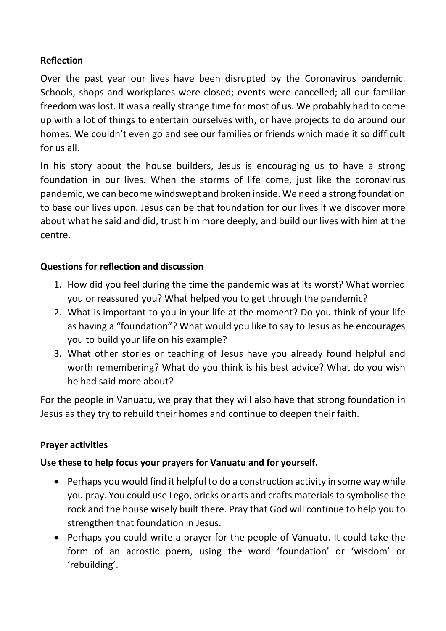#### **Reflection**

Over the past year our lives have been disrupted by the Coronavirus pandemic. Schools, shops and workplaces were closed; events were cancelled; all our familiar freedom was lost. It was a really strange time for most of us. We probably had to come up with a lot of things to entertain ourselves with, or have projects to do around our homes. We couldn't even go and see our families or friends which made it so difficult for us all.

In his story about the house builders, Jesus is encouraging us to have a strong foundation in our lives. When the storms of life come, just like the coronavirus pandemic, we can become windswept and broken inside. We need a strong foundation to base our lives upon. Jesus can be that foundation for our lives if we discover more about what he said and did, trust him more deeply, and build our lives with him at the centre.

#### **Questions for reflection and discussion**

- 1. How did you feel during the time the pandemic was at its worst? What worried you or reassured you? What helped you to get through the pandemic?
- 2. What is important to you in your life at the moment? Do you think of your life as having a "foundation"? What would you like to say to Jesus as he encourages you to build your life on his example?
- 3. What other stories or teaching of Jesus have you already found helpful and worth remembering? What do you think is his best advice? What do you wish he had said more about?

For the people in Vanuatu, we pray that they will also have that strong foundation in Jesus as they try to rebuild their homes and continue to deepen their faith.

#### **Prayer activities**

#### **Use these to help focus your prayers for Vanuatu and for yourself.**

- Perhaps you would find it helpful to do a construction activity in some way while you pray. You could use Lego, bricks or arts and crafts materials to symbolise the rock and the house wisely built there. Pray that God will continue to help you to strengthen that foundation in Jesus.
- Perhaps you could write a prayer for the people of Vanuatu. It could take the form of an acrostic poem, using the word 'foundation' or 'wisdom' or 'rebuilding'.